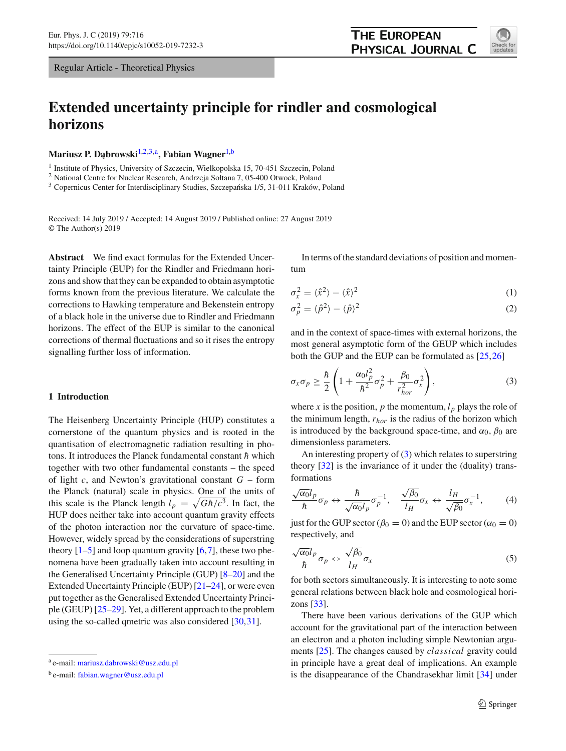Regular Article - Theoretical Physics

# **Extended uncertainty principle for rindler and cosmological horizons**

**Mariusz P. D¸abrowski**[1,2](#page-0-0)[,3,](#page-0-1)a**, Fabian Wagner**[1,](#page-0-0)b

<sup>1</sup> Institute of Physics, University of Szczecin, Wielkopolska 15, 70-451 Szczecin, Poland

<sup>2</sup> National Centre for Nuclear Research, Andrzeja Sołtana 7, 05-400 Otwock, Poland

<sup>3</sup> Copernicus Center for Interdisciplinary Studies, Szczepańska 1/5, 31-011 Kraków, Poland

Received: 14 July 2019 / Accepted: 14 August 2019 / Published online: 27 August 2019 © The Author(s) 2019

**Abstract** We find exact formulas for the Extended Uncertainty Principle (EUP) for the Rindler and Friedmann horizons and show that they can be expanded to obtain asymptotic forms known from the previous literature. We calculate the corrections to Hawking temperature and Bekenstein entropy of a black hole in the universe due to Rindler and Friedmann horizons. The effect of the EUP is similar to the canonical corrections of thermal fluctuations and so it rises the entropy signalling further loss of information.

# **1 Introduction**

The Heisenberg Uncertainty Principle (HUP) constitutes a cornerstone of the quantum physics and is rooted in the quantisation of electromagnetic radiation resulting in photons. It introduces the Planck fundamental constant *h*¯ which together with two other fundamental constants – the speed of light *c*, and Newton's gravitational constant *G* – form the Planck (natural) scale in physics. One of the units of this scale is the Planck length  $l_p = \sqrt{G\hbar/c^3}$ . In fact, the HUP does neither take into account quantum gravity effects of the photon interaction nor the curvature of space-time. However, widely spread by the considerations of superstring theory  $[1-5]$  $[1-5]$  and loop quantum gravity  $[6,7]$  $[6,7]$  $[6,7]$ , these two phenomena have been gradually taken into account resulting in the Generalised Uncertainty Principle (GUP) [\[8](#page-6-4)[–20\]](#page-6-5) and the Extended Uncertainty Principle (EUP) [\[21](#page-6-6)[–24](#page-6-7)], or were even put together as the Generalised Extended Uncertainty Principle (GEUP) [\[25](#page-6-8)[–29](#page-6-9)]. Yet, a different approach to the problem using the so-called qmetric was also considered [\[30,](#page-6-10)[31\]](#page-6-11).

<span id="page-0-1"></span><span id="page-0-0"></span>In terms of the standard deviations of position and momentum

$$
\sigma_x^2 = \langle \hat{x}^2 \rangle - \langle \hat{x} \rangle^2 \tag{1}
$$

$$
\sigma_p^2 = \langle \hat{p}^2 \rangle - \langle \hat{p} \rangle^2 \tag{2}
$$

and in the context of space-times with external horizons, the most general asymptotic form of the GEUP which includes both the GUP and the EUP can be formulated as [\[25](#page-6-8)[,26](#page-6-12)]

<span id="page-0-2"></span>
$$
\sigma_x \sigma_p \ge \frac{\hbar}{2} \left( 1 + \frac{\alpha_0 l_p^2}{\hbar^2} \sigma_p^2 + \frac{\beta_0}{r_{hor}^2} \sigma_x^2 \right),\tag{3}
$$

where *x* is the position, *p* the momentum,  $l_p$  plays the role of the minimum length, *rhor* is the radius of the horizon which is introduced by the background space-time, and  $\alpha_0$ ,  $\beta_0$  are dimensionless parameters.

An interesting property of [\(3\)](#page-0-2) which relates to superstring theory [\[32\]](#page-6-13) is the invariance of it under the (duality) transformations

$$
\frac{\sqrt{\alpha_0}l_p}{\hbar}\sigma_p \leftrightarrow \frac{\hbar}{\sqrt{\alpha_0}l_p}\sigma_p^{-1}, \quad \frac{\sqrt{\beta_0}}{l_H}\sigma_x \leftrightarrow \frac{l_H}{\sqrt{\beta_0}}\sigma_x^{-1},\tag{4}
$$

just for the GUP sector ( $\beta_0 = 0$ ) and the EUP sector ( $\alpha_0 = 0$ ) respectively, and

$$
\frac{\sqrt{\alpha_0}l_p}{\hbar}\sigma_p \leftrightarrow \frac{\sqrt{\beta_0}}{l_H}\sigma_x \tag{5}
$$

for both sectors simultaneously. It is interesting to note some general relations between black hole and cosmological horizons [\[33](#page-6-14)].

There have been various derivations of the GUP which account for the gravitational part of the interaction between an electron and a photon including simple Newtonian arguments [\[25\]](#page-6-8). The changes caused by *classical* gravity could in principle have a great deal of implications. An example is the disappearance of the Chandrasekhar limit [\[34](#page-6-15)] under



<sup>a</sup> e-mail: [mariusz.dabrowski@usz.edu.pl](mailto:mariusz.dabrowski@usz.edu.pl)

<sup>b</sup> e-mail: [fabian.wagner@usz.edu.pl](mailto:fabian.wagner@usz.edu.pl)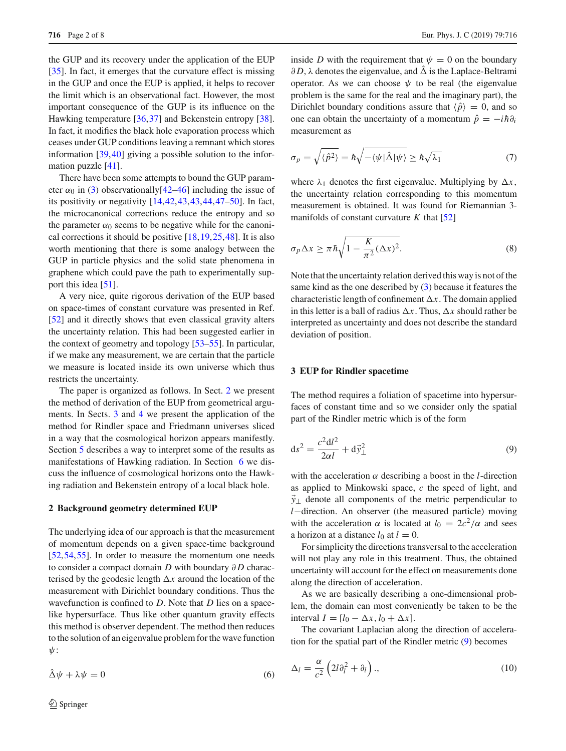the GUP and its recovery under the application of the EUP [\[35](#page-6-16)]. In fact, it emerges that the curvature effect is missing in the GUP and once the EUP is applied, it helps to recover the limit which is an observational fact. However, the most important consequence of the GUP is its influence on the Hawking temperature [\[36,](#page-6-17)[37\]](#page-6-18) and Bekenstein entropy [\[38](#page-6-19)]. In fact, it modifies the black hole evaporation process which ceases under GUP conditions leaving a remnant which stores information [\[39](#page-6-20),[40\]](#page-6-21) giving a possible solution to the information puzzle [\[41\]](#page-6-22).

There have been some attempts to bound the GUP parameter  $\alpha_0$  in [\(3\)](#page-0-2) observationally[\[42](#page-6-23)[–46](#page-6-24)] including the issue of its positivity or negativity [\[14,](#page-6-25)[42](#page-6-23)[,43,43](#page-6-26),[44,](#page-6-27)[47](#page-6-28)[–50\]](#page-6-29). In fact, the microcanonical corrections reduce the entropy and so the parameter  $\alpha_0$  seems to be negative while for the canonical corrections it should be positive [\[18,](#page-6-30)[19](#page-6-31)[,25](#page-6-8)[,48](#page-6-32)]. It is also worth mentioning that there is some analogy between the GUP in particle physics and the solid state phenomena in graphene which could pave the path to experimentally sup-port this idea [\[51\]](#page-6-33).

A very nice, quite rigorous derivation of the EUP based on space-times of constant curvature was presented in Ref. [\[52](#page-7-0)] and it directly shows that even classical gravity alters the uncertainty relation. This had been suggested earlier in the context of geometry and topology [\[53](#page-7-1)[–55](#page-7-2)]. In particular, if we make any measurement, we are certain that the particle we measure is located inside its own universe which thus restricts the uncertainty.

The paper is organized as follows. In Sect. [2](#page-1-0) we present the method of derivation of the EUP from geometrical arguments. In Sects. [3](#page-1-1) and [4](#page-2-0) we present the application of the method for Rindler space and Friedmann universes sliced in a way that the cosmological horizon appears manifestly. Section [5](#page-3-0) describes a way to interpret some of the results as manifestations of Hawking radiation. In Section [6](#page-3-1) we discuss the influence of cosmological horizons onto the Hawking radiation and Bekenstein entropy of a local black hole.

# <span id="page-1-0"></span>**2 Background geometry determined EUP**

The underlying idea of our approach is that the measurement of momentum depends on a given space-time background [\[52](#page-7-0),[54,](#page-7-3)[55\]](#page-7-2). In order to measure the momentum one needs to consider a compact domain *D* with boundary ∂*D* characterised by the geodesic length  $\Delta x$  around the location of the measurement with Dirichlet boundary conditions. Thus the wavefunction is confined to *D*. Note that *D* lies on a spacelike hypersurface. Thus like other quantum gravity effects this method is observer dependent. The method then reduces to the solution of an eigenvalue problem for the wave function ψ:

inside *D* with the requirement that  $\psi = 0$  on the boundary  $\partial D$ ,  $\lambda$  denotes the eigenvalue, and  $\hat{\Delta}$  is the Laplace-Beltrami operator. As we can choose  $\psi$  to be real (the eigenvalue problem is the same for the real and the imaginary part), the Dirichlet boundary conditions assure that  $\langle \hat{p} \rangle = 0$ , and so one can obtain the uncertainty of a momentum  $\hat{p} = -i\hbar \partial_i$ measurement as

<span id="page-1-3"></span>
$$
\sigma_p = \sqrt{\langle \hat{p}^2 \rangle} = \hbar \sqrt{-\langle \psi | \hat{\Delta} | \psi \rangle} \ge \hbar \sqrt{\lambda_1} \tag{7}
$$

where  $\lambda_1$  denotes the first eigenvalue. Multiplying by  $\Delta x$ , the uncertainty relation corresponding to this momentum measurement is obtained. It was found for Riemannian 3 manifolds of constant curvature  $K$  that  $[52]$ 

<span id="page-1-4"></span>
$$
\sigma_p \Delta x \ge \pi \hbar \sqrt{1 - \frac{K}{\pi^2} (\Delta x)^2}.
$$
 (8)

Note that the uncertainty relation derived this way is not of the same kind as the one described by [\(3\)](#page-0-2) because it features the characteristic length of confinement  $\Delta x$ . The domain applied in this letter is a ball of radius  $\Delta x$ . Thus,  $\Delta x$  should rather be interpreted as uncertainty and does not describe the standard deviation of position.

# <span id="page-1-1"></span>**3 EUP for Rindler spacetime**

The method requires a foliation of spacetime into hypersurfaces of constant time and so we consider only the spatial part of the Rindler metric which is of the form

<span id="page-1-2"></span>
$$
ds^2 = \frac{c^2 dl^2}{2\alpha l} + d\vec{y}_{\perp}^2
$$
\n(9)

with the acceleration  $\alpha$  describing a boost in the *l*-direction as applied to Minkowski space, *c* the speed of light, and *y*⊥ denote all components of the metric perpendicular to *l*−direction. An observer (the measured particle) moving with the acceleration  $\alpha$  is located at  $l_0 = 2c^2/\alpha$  and sees a horizon at a distance  $l_0$  at  $l = 0$ .

For simplicity the directions transversal to the acceleration will not play any role in this treatment. Thus, the obtained uncertainty will account for the effect on measurements done along the direction of acceleration.

As we are basically describing a one-dimensional problem, the domain can most conveniently be taken to be the interval  $I = [l_0 - \Delta x, l_0 + \Delta x].$ 

The covariant Laplacian along the direction of acceleration for the spatial part of the Rindler metric [\(9\)](#page-1-2) becomes

$$
\Delta_l = \frac{\alpha}{c^2} \left( 2l \partial_l^2 + \partial_l \right),\tag{10}
$$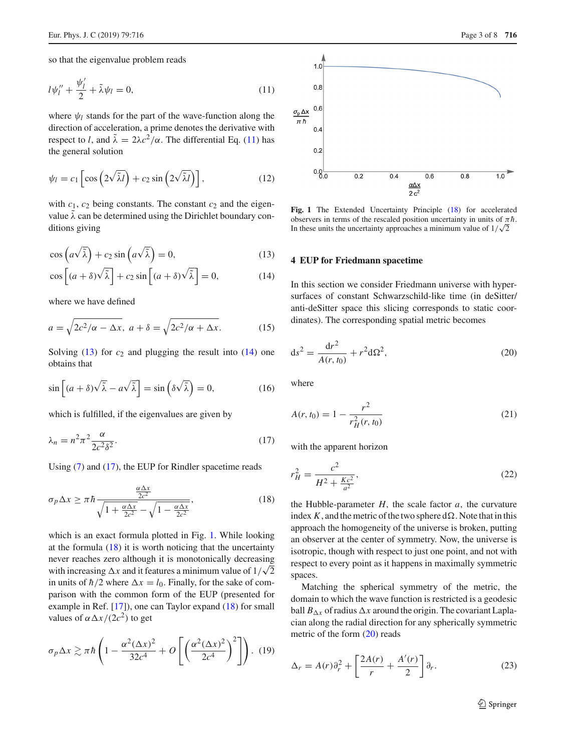so that the eigenvalue problem reads

$$
l\psi_l'' + \frac{\psi_l'}{2} + \tilde{\lambda}\psi_l = 0,\tag{11}
$$

where  $\psi_l$  stands for the part of the wave-function along the direction of acceleration, a prime denotes the derivative with respect to *l*, and  $\tilde{\lambda} = 2\lambda c^2/\alpha$ . The differential Eq. [\(11\)](#page-2-1) has the general solution

$$
\psi_l = c_1 \left[ \cos \left( 2 \sqrt{\tilde{\lambda} l} \right) + c_2 \sin \left( 2 \sqrt{\tilde{\lambda} l} \right) \right],\tag{12}
$$

with  $c_1$ ,  $c_2$  being constants. The constant  $c_2$  and the eigenvalue  $\lambda$  can be determined using the Dirichlet boundary conditions giving

$$
\cos\left(a\sqrt{\tilde{\lambda}}\right) + c_2 \sin\left(a\sqrt{\tilde{\lambda}}\right) = 0,\tag{13}
$$

$$
\cos\left[ (a+\delta)\sqrt{\tilde{\lambda}} \right] + c_2 \sin\left[ (a+\delta)\sqrt{\tilde{\lambda}} \right] = 0, \tag{14}
$$

where we have defined

$$
a = \sqrt{2c^2/\alpha - \Delta x}, \ a + \delta = \sqrt{2c^2/\alpha + \Delta x}.
$$
 (15)

Solving  $(13)$  for  $c_2$  and plugging the result into  $(14)$  one obtains that

$$
\sin\left[ (a+\delta)\sqrt{\tilde{\lambda}} - a\sqrt{\tilde{\lambda}} \right] = \sin\left(\delta\sqrt{\tilde{\lambda}}\right) = 0,\tag{16}
$$

which is fulfilled, if the eigenvalues are given by

$$
\lambda_n = n^2 \pi^2 \frac{\alpha}{2c^2 \delta^2}.
$$
\n(17)

Using [\(7\)](#page-1-3) and [\(17\)](#page-2-4), the EUP for Rindler spacetime reads

$$
\sigma_p \Delta x \ge \pi \hbar \frac{\frac{\alpha \Delta x}{2c^2}}{\sqrt{1 + \frac{\alpha \Delta x}{2c^2}} - \sqrt{1 - \frac{\alpha \Delta x}{2c^2}}},\tag{18}
$$

which is an exact formula plotted in Fig. [1.](#page-2-5) While looking at the formula  $(18)$  it is worth noticing that the uncertainty never reaches zero although it is monotonically decreasing with increasing  $\Delta x$  and it features a minimum value of  $1/\sqrt{2}$ in units of  $\hbar/2$  where  $\Delta x = l_0$ . Finally, for the sake of comparison with the common form of the EUP (presented for example in Ref. [\[17](#page-6-34)]), one can Taylor expand [\(18\)](#page-2-6) for small values of  $\alpha \Delta x/(2c^2)$  to get

$$
\sigma_p \Delta x \gtrsim \pi \hbar \left( 1 - \frac{\alpha^2 (\Delta x)^2}{32c^4} + O\left[ \left( \frac{\alpha^2 (\Delta x)^2}{2c^4} \right)^2 \right] \right). \tag{19}
$$

<span id="page-2-1"></span>

<span id="page-2-5"></span><span id="page-2-2"></span>**Fig. 1** The Extended Uncertainty Principle [\(18\)](#page-2-6) for accelerated observers in terms of the rescaled position uncertainty in units of  $\pi \hbar$ . In these units the uncertainty approaches a minimum value of  $1/\sqrt{2}$ 

#### <span id="page-2-3"></span><span id="page-2-0"></span>**4 EUP for Friedmann spacetime**

In this section we consider Friedmann universe with hypersurfaces of constant Schwarzschild-like time (in deSitter/ anti-deSitter space this slicing corresponds to static coordinates). The corresponding spatial metric becomes

<span id="page-2-7"></span>
$$
ds^{2} = \frac{dr^{2}}{A(r, t_{0})} + r^{2} d\Omega^{2},
$$
\n(20)

where

<span id="page-2-4"></span>
$$
A(r, t_0) = 1 - \frac{r^2}{r_H^2(r, t_0)}
$$
\n(21)

with the apparent horizon

<span id="page-2-6"></span>
$$
r_H^2 = \frac{c^2}{H^2 + \frac{Kc^2}{a^2}},\tag{22}
$$

the Hubble-parameter  $H$ , the scale factor  $a$ , the curvature index  $K$ , and the metric of the two sphere  $d\Omega$ . Note that in this approach the homogeneity of the universe is broken, putting an observer at the center of symmetry. Now, the universe is isotropic, though with respect to just one point, and not with respect to every point as it happens in maximally symmetric spaces.

Matching the spherical symmetry of the metric, the domain to which the wave function is restricted is a geodesic ball  $B_{\Delta x}$  of radius  $\Delta x$  around the origin. The covariant Laplacian along the radial direction for any spherically symmetric metric of the form [\(20\)](#page-2-7) reads

<span id="page-2-8"></span>
$$
\Delta_r = A(r)\partial_r^2 + \left[\frac{2A(r)}{r} + \frac{A'(r)}{2}\right]\partial_r.
$$
 (23)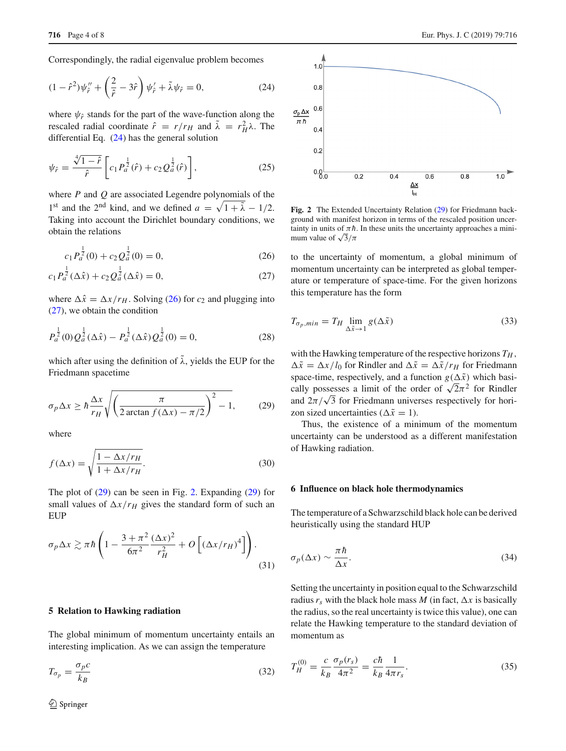Correspondingly, the radial eigenvalue problem becomes

$$
(1 - \hat{r}^2)\psi_{\hat{r}}'' + \left(\frac{2}{\hat{r}} - 3\hat{r}\right)\psi_{\hat{r}}' + \tilde{\lambda}\psi_{\hat{r}} = 0, \tag{24}
$$

where  $\psi_{\hat{r}}$  stands for the part of the wave-function along the rescaled radial coordinate  $\hat{r} = r/r_H$  and  $\tilde{\lambda} = r_H^2 \lambda$ . The differential Eq. [\(24\)](#page-3-2) has the general solution

$$
\psi_{\hat{r}} = \frac{\sqrt[4]{1-\hat{r}}}{\hat{r}} \left[ c_1 P_a^{\frac{1}{2}}(\hat{r}) + c_2 Q_a^{\frac{1}{2}}(\hat{r}) \right],\tag{25}
$$

where *P* and *Q* are associated Legendre polynomials of the 1<sup>st</sup> and the 2<sup>nd</sup> kind, and we defined  $a = \sqrt{1 + \tilde{\lambda}} - 1/2$ . Taking into account the Dirichlet boundary conditions, we obtain the relations

$$
c_1 P_a^{\frac{1}{2}}(0) + c_2 Q_a^{\frac{1}{2}}(0) = 0,
$$
\n(26)

$$
c_1 P_a^{\frac{1}{2}}(\Delta \hat{x}) + c_2 Q_a^{\frac{1}{2}}(\Delta \hat{x}) = 0,
$$
\n(27)

where  $\Delta \hat{x} = \Delta x / r_H$ . Solving [\(26\)](#page-3-3) for  $c_2$  and plugging into [\(27\)](#page-3-4), we obtain the condition

$$
P_a^{\frac{1}{2}}(0)Q_a^{\frac{1}{2}}(\Delta \hat{x}) - P_a^{\frac{1}{2}}(\Delta \hat{x})Q_a^{\frac{1}{2}}(0) = 0,
$$
 (28)

which after using the definition of  $\tilde{\lambda}$ , yields the EUP for the Friedmann spacetime

$$
\sigma_p \Delta x \ge \hbar \frac{\Delta x}{r_H} \sqrt{\left(\frac{\pi}{2 \arctan f(\Delta x) - \pi/2}\right)^2 - 1},\tag{29}
$$

where

$$
f(\Delta x) = \sqrt{\frac{1 - \Delta x / r_H}{1 + \Delta x / r_H}}.\tag{30}
$$

The plot of [\(29\)](#page-3-5) can be seen in Fig. [2.](#page-3-6) Expanding [\(29\)](#page-3-5) for small values of  $\Delta x / r_H$  gives the standard form of such an **EUP** 

$$
\sigma_p \Delta x \gtrsim \pi \hbar \left( 1 - \frac{3 + \pi^2}{6\pi^2} \frac{(\Delta x)^2}{r_H^2} + O\left[ (\Delta x / r_H)^4 \right] \right). \tag{31}
$$

## <span id="page-3-0"></span>**5 Relation to Hawking radiation**

The global minimum of momentum uncertainty entails an interesting implication. As we can assign the temperature

$$
T_{\sigma_p} = \frac{\sigma_p c}{k_B} \tag{32}
$$



 $0.6$ 

 $\Delta x$  $\mathbf{L}$ 

 $10$ 

 $0.8$ 

 $0.4$ 

 $0.2$ 

 $0.8<sub>0</sub>$ 

 $\overline{0.2}$ 

<span id="page-3-2"></span> $\sigma_{\rm p} \Delta x$  $0.6$ 

 $\pi \hbar$ 

<span id="page-3-6"></span>**Fig. 2** The Extended Uncertainty Relation [\(29\)](#page-3-5) for Friedmann background with manifest horizon in terms of the rescaled position uncertainty in units of  $\pi \hbar$ . In these units the uncertainty approaches a minimum value of  $\sqrt{3}/\pi$ 

 $04$ 

<span id="page-3-4"></span><span id="page-3-3"></span>to the uncertainty of momentum, a global minimum of momentum uncertainty can be interpreted as global temperature or temperature of space-time. For the given horizons this temperature has the form

$$
T_{\sigma_p, min} = T_H \lim_{\Delta \tilde{x} \to 1} g(\Delta \tilde{x})
$$
\n(33)

<span id="page-3-5"></span>with the Hawking temperature of the respective horizons  $T_H$ ,  $\Delta \tilde{x} = \Delta x / l_0$  for Rindler and  $\Delta \tilde{x} = \Delta \tilde{x} / r_H$  for Friedmann space-time, respectively, and a function  $g(\Delta \tilde{x})$  which basically possesses a limit of the order of  $\sqrt{2}\pi^2$  for Rindler and  $2\pi/\sqrt{3}$  for Friedmann universes respectively for horizon sized uncertainties ( $\Delta \tilde{x} = 1$ ).

Thus, the existence of a minimum of the momentum uncertainty can be understood as a different manifestation of Hawking radiation.

#### <span id="page-3-1"></span>**6 Influence on black hole thermodynamics**

The temperature of a Schwarzschild black hole can be derived heuristically using the standard HUP

<span id="page-3-7"></span>
$$
\sigma_p(\Delta x) \sim \frac{\pi \hbar}{\Delta x}.\tag{34}
$$

Setting the uncertainty in position equal to the Schwarzschild radius  $r_s$  with the black hole mass *M* (in fact,  $\Delta x$  is basically the radius, so the real uncertainty is twice this value), one can relate the Hawking temperature to the standard deviation of momentum as

$$
T_H^{(0)} = \frac{c}{k_B} \frac{\sigma_p(r_s)}{4\pi^2} = \frac{c\hbar}{k_B} \frac{1}{4\pi r_s}.
$$
 (35)

 $\overline{0}$   $\overline{8}$ 

 $1.0$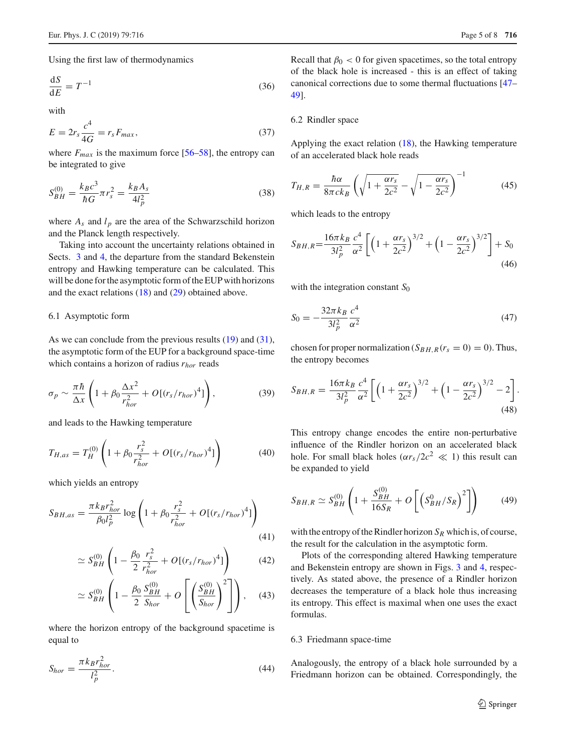Using the first law of thermodynamics

$$
\frac{\mathrm{d}S}{\mathrm{d}E} = T^{-1} \tag{36}
$$

with

$$
E = 2r_s \frac{c^4}{4G} = r_s F_{max},\qquad(37)
$$

where  $F_{max}$  is the maximum force [\[56](#page-7-4)[–58](#page-7-5)], the entropy can be integrated to give

$$
S_{BH}^{(0)} = \frac{k_B c^3}{\hbar G} \pi r_s^2 = \frac{k_B A_s}{4l_p^2}
$$
 (38)

where  $A_s$  and  $l_p$  are the area of the Schwarzschild horizon and the Planck length respectively.

Taking into account the uncertainty relations obtained in Sects. [3](#page-1-1) and [4,](#page-2-0) the departure from the standard Bekenstein entropy and Hawking temperature can be calculated. This will be done for the asymptotic form of the EUP with horizons and the exact relations [\(18\)](#page-2-6) and [\(29\)](#page-3-5) obtained above.

# 6.1 Asymptotic form

As we can conclude from the previous results [\(19\)](#page-2-8) and [\(31\)](#page-3-7), the asymptotic form of the EUP for a background space-time which contains a horizon of radius *rhor* reads

$$
\sigma_p \sim \frac{\pi \hbar}{\Delta x} \left( 1 + \beta_0 \frac{\Delta x^2}{r_{hor}^2} + O[(r_s/r_{hor})^4] \right),\tag{39}
$$

and leads to the Hawking temperature

$$
T_{H,as} = T_H^{(0)} \left( 1 + \beta_0 \frac{r_s^2}{r_{hor}^2} + O[(r_s/r_{hor})^4] \right)
$$
 (40)

which yields an entropy

$$
S_{BH,as} = \frac{\pi k_B r_{hor}^2}{\beta_0 l_p^2} \log \left( 1 + \beta_0 \frac{r_s^2}{r_{hor}^2} + O[(r_s/r_{hor})^4] \right)
$$
(41)

$$
\simeq S_{BH}^{(0)} \left( 1 - \frac{\beta_0}{2} \frac{r_s^2}{r_{hor}^2} + O[(r_s/r_{hor})^4] \right) \tag{42}
$$

$$
\simeq S_{BH}^{(0)} \left( 1 - \frac{\beta_0}{2} \frac{S_{BH}^{(0)}}{S_{hor}} + O\left[ \left( \frac{S_{BH}^{(0)}}{S_{hor}} \right)^2 \right] \right), \quad (43)
$$

where the horizon entropy of the background spacetime is equal to

$$
S_{hor} = \frac{\pi k_B r_{hor}^2}{l_p^2}.
$$
\n(44)

Recall that  $\beta_0 < 0$  for given spacetimes, so the total entropy of the black hole is increased - this is an effect of taking canonical corrections due to some thermal fluctuations [\[47](#page-6-28)– [49](#page-6-35)].

## 6.2 Rindler space

Applying the exact relation [\(18\)](#page-2-6), the Hawking temperature of an accelerated black hole reads

$$
T_{H,R} = \frac{\hbar \alpha}{8\pi c k_B} \left( \sqrt{1 + \frac{\alpha r_s}{2c^2}} - \sqrt{1 - \frac{\alpha r_s}{2c^2}} \right)^{-1}
$$
(45)

which leads to the entropy

$$
S_{BH,R} = \frac{16\pi k_B}{3l_p^2} \frac{c^4}{\alpha^2} \left[ \left( 1 + \frac{\alpha r_s}{2c^2} \right)^{3/2} + \left( 1 - \frac{\alpha r_s}{2c^2} \right)^{3/2} \right] + S_0
$$
\n(46)

with the integration constant S<sub>0</sub>

$$
S_0 = -\frac{32\pi k_B}{3l_p^2} \frac{c^4}{\alpha^2} \tag{47}
$$

chosen for proper normalization  $(S_{BH,R}(r_s = 0) = 0)$ . Thus, the entropy becomes

$$
S_{BH,R} = \frac{16\pi k_B}{3l_p^2} \frac{c^4}{\alpha^2} \left[ \left( 1 + \frac{\alpha r_s}{2c^2} \right)^{3/2} + \left( 1 - \frac{\alpha r_s}{2c^2} \right)^{3/2} - 2 \right].
$$
\n(48)

This entropy change encodes the entire non-perturbative influence of the Rindler horizon on an accelerated black hole. For small black holes  $(\alpha r_s/2c^2 \ll 1)$  this result can be expanded to yield

$$
S_{BH,R} \simeq S_{BH}^{(0)} \left( 1 + \frac{S_{BH}^{(0)}}{16S_R} + O\left[ \left( S_{BH}^0 / S_R \right)^2 \right] \right) \tag{49}
$$

with the entropy of the Rindler horizon  $S_R$  which is, of course, the result for the calculation in the asymptotic form.

Plots of the corresponding altered Hawking temperature and Bekenstein entropy are shown in Figs. [3](#page-5-0) and [4,](#page-5-1) respectively. As stated above, the presence of a Rindler horizon decreases the temperature of a black hole thus increasing its entropy. This effect is maximal when one uses the exact formulas.

#### 6.3 Friedmann space-time

Analogously, the entropy of a black hole surrounded by a Friedmann horizon can be obtained. Correspondingly, the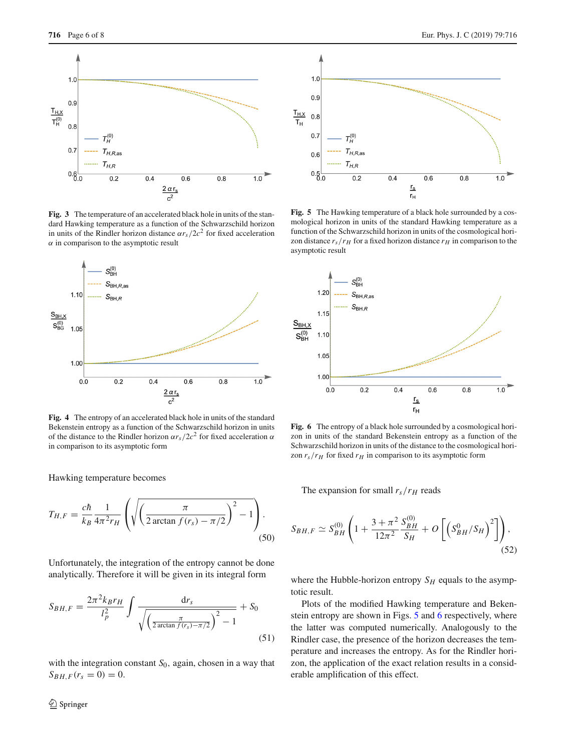

<span id="page-5-0"></span>**Fig. 3** The temperature of an accelerated black hole in units of the standard Hawking temperature as a function of the Schwarzschild horizon in units of the Rindler horizon distance  $\alpha r_s/2c^2$  for fixed acceleration  $\alpha$  in comparison to the asymptotic result



<span id="page-5-1"></span>**Fig. 4** The entropy of an accelerated black hole in units of the standard Bekenstein entropy as a function of the Schwarzschild horizon in units of the distance to the Rindler horizon  $\alpha r_s/2c^2$  for fixed acceleration  $\alpha$ in comparison to its asymptotic form

Hawking temperature becomes

$$
T_{H,F} = \frac{c\hbar}{k_B} \frac{1}{4\pi^2 r_H} \left( \sqrt{\left(\frac{\pi}{2\arctan f(r_s) - \pi/2}\right)^2 - 1} \right). \tag{50}
$$

Unfortunately, the integration of the entropy cannot be done analytically. Therefore it will be given in its integral form

$$
S_{BH,F} = \frac{2\pi^2 k_{B} r_{H}}{l_p^2} \int \frac{\mathrm{d}r_{s}}{\sqrt{\left(\frac{\pi}{2\arctan f(r_{s}) - \pi/2}\right)^2 - 1}} + S_0
$$
\n(51)

with the integration constant  $S_0$ , again, chosen in a way that  $S_{B H, F}(r_s = 0) = 0.$ 



<span id="page-5-2"></span>**Fig. 5** The Hawking temperature of a black hole surrounded by a cosmological horizon in units of the standard Hawking temperature as a function of the Schwarzschild horizon in units of the cosmological horizon distance  $r_s/r_H$  for a fixed horizon distance  $r_H$  in comparison to the asymptotic result



<span id="page-5-3"></span>**Fig. 6** The entropy of a black hole surrounded by a cosmological horizon in units of the standard Bekenstein entropy as a function of the Schwarzschild horizon in units of the distance to the cosmological horizon  $r_s/r_H$  for fixed  $r_H$  in comparison to its asymptotic form

The expansion for small  $r_s/r_H$  reads

$$
S_{BH,F} \simeq S_{BH}^{(0)} \left( 1 + \frac{3 + \pi^2}{12\pi^2} \frac{S_{BH}^{(0)}}{S_H} + O\left[ \left( S_{BH}^0 / S_H \right)^2 \right] \right),\tag{52}
$$

where the Hubble-horizon entropy  $S_H$  equals to the asymptotic result.

Plots of the modified Hawking temperature and Bekenstein entropy are shown in Figs. [5](#page-5-2) and [6](#page-5-3) respectively, where the latter was computed numerically. Analogously to the Rindler case, the presence of the horizon decreases the temperature and increases the entropy. As for the Rindler horizon, the application of the exact relation results in a considerable amplification of this effect.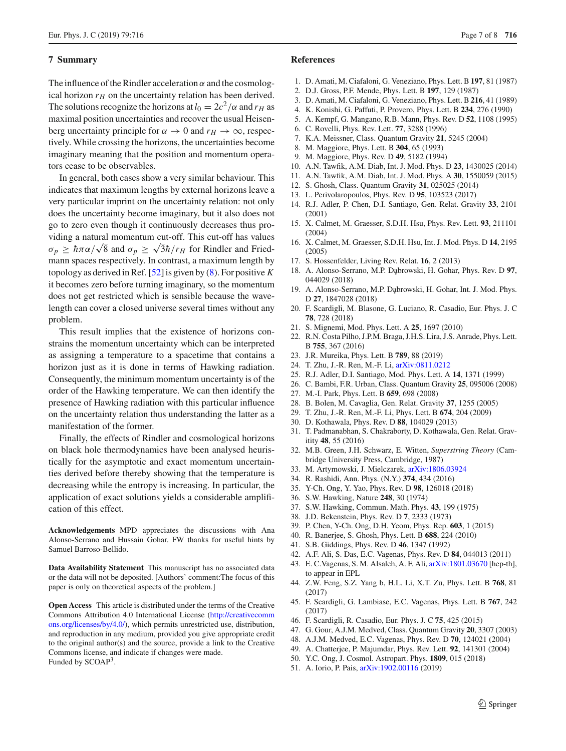## **7 Summary**

The influence of the Rindler acceleration  $\alpha$  and the cosmological horizon  $r_H$  on the uncertainty relation has been derived. The solutions recognize the horizons at  $l_0 = 2c^2/\alpha$  and  $r_H$  as maximal position uncertainties and recover the usual Heisenberg uncertainty principle for  $\alpha \to 0$  and  $r_H \to \infty$ , respectively. While crossing the horizons, the uncertainties become imaginary meaning that the position and momentum operators cease to be observables.

In general, both cases show a very similar behaviour. This indicates that maximum lengths by external horizons leave a very particular imprint on the uncertainty relation: not only does the uncertainty become imaginary, but it also does not go to zero even though it continuously decreases thus providing a natural momentum cut-off. This cut-off has values  $\sigma_p \geq \hbar \pi \alpha / \sqrt{8}$  and  $\sigma_p \geq \sqrt{3} \hbar / r_H$  for Rindler and Friedmann spaces respectively. In contrast, a maximum length by topology as derived in Ref. [\[52](#page-7-0)] is given by [\(8\)](#page-1-4). For positive *K* it becomes zero before turning imaginary, so the momentum does not get restricted which is sensible because the wavelength can cover a closed universe several times without any problem.

This result implies that the existence of horizons constrains the momentum uncertainty which can be interpreted as assigning a temperature to a spacetime that contains a horizon just as it is done in terms of Hawking radiation. Consequently, the minimum momentum uncertainty is of the order of the Hawking temperature. We can then identify the presence of Hawking radiation with this particular influence on the uncertainty relation thus understanding the latter as a manifestation of the former.

Finally, the effects of Rindler and cosmological horizons on black hole thermodynamics have been analysed heuristically for the asymptotic and exact momentum uncertainties derived before thereby showing that the temperature is decreasing while the entropy is increasing. In particular, the application of exact solutions yields a considerable amplification of this effect.

**Acknowledgements** MPD appreciates the discussions with Ana Alonso-Serrano and Hussain Gohar. FW thanks for useful hints by Samuel Barroso-Bellido.

**Data Availability Statement** This manuscript has no associated data or the data will not be deposited. [Authors' comment:The focus of this paper is only on theoretical aspects of the problem.]

**Open Access** This article is distributed under the terms of the Creative Commons Attribution 4.0 International License [\(http://creativecomm](http://creativecommons.org/licenses/by/4.0/) [ons.org/licenses/by/4.0/\)](http://creativecommons.org/licenses/by/4.0/), which permits unrestricted use, distribution, and reproduction in any medium, provided you give appropriate credit to the original author(s) and the source, provide a link to the Creative Commons license, and indicate if changes were made. Funded by SCOAP<sup>3</sup>.

## **References**

- <span id="page-6-0"></span>1. D. Amati, M. Ciafaloni, G. Veneziano, Phys. Lett. B **197**, 81 (1987)
- 2. D.J. Gross, P.F. Mende, Phys. Lett. B **197**, 129 (1987)
- 3. D. Amati, M. Ciafaloni, G. Veneziano, Phys. Lett. B **216**, 41 (1989)
- 4. K. Konishi, G. Paffuti, P. Provero, Phys. Lett. B **234**, 276 (1990)
- <span id="page-6-1"></span>5. A. Kempf, G. Mangano, R.B. Mann, Phys. Rev. D **52**, 1108 (1995)
- <span id="page-6-2"></span>6. C. Rovelli, Phys. Rev. Lett. **77**, 3288 (1996)
- <span id="page-6-3"></span>7. K.A. Meissner, Class. Quantum Gravity **21**, 5245 (2004)
- <span id="page-6-4"></span>8. M. Maggiore, Phys. Lett. B **304**, 65 (1993)
- 9. M. Maggiore, Phys. Rev. D **49**, 5182 (1994)
- 10. A.N. Tawfik, A.M. Diab, Int. J. Mod. Phys. D **23**, 1430025 (2014)
- 11. A.N. Tawfik, A.M. Diab, Int. J. Mod. Phys. A **30**, 1550059 (2015)
- 12. S. Ghosh, Class. Quantum Gravity **31**, 025025 (2014)
- 13. L. Perivolaropoulos, Phys. Rev. D **95**, 103523 (2017)
- <span id="page-6-25"></span>14. R.J. Adler, P. Chen, D.I. Santiago, Gen. Relat. Gravity **33**, 2101 (2001)
- 15. X. Calmet, M. Graesser, S.D.H. Hsu, Phys. Rev. Lett. **93**, 211101 (2004)
- 16. X. Calmet, M. Graesser, S.D.H. Hsu, Int. J. Mod. Phys. D **14**, 2195 (2005)
- <span id="page-6-34"></span>17. S. Hossenfelder, Living Rev. Relat. **16**, 2 (2013)
- <span id="page-6-30"></span>18. A. Alonso-Serrano, M.P. D¸abrowski, H. Gohar, Phys. Rev. D **97**, 044029 (2018)
- <span id="page-6-31"></span>19. A. Alonso-Serrano, M.P. Dąbrowski, H. Gohar, Int. J. Mod. Phys. D **27**, 1847028 (2018)
- <span id="page-6-5"></span>20. F. Scardigli, M. Blasone, G. Luciano, R. Casadio, Eur. Phys. J. C **78**, 728 (2018)
- <span id="page-6-6"></span>21. S. Mignemi, Mod. Phys. Lett. A **25**, 1697 (2010)
- 22. R.N. Costa Pilho, J.P.M. Braga, J.H.S. Lira, J.S. Anrade, Phys. Lett. B **755**, 367 (2016)
- 23. J.R. Mureika, Phys. Lett. B **789**, 88 (2019)
- <span id="page-6-7"></span>24. T. Zhu, J.-R. Ren, M.-F. Li, [arXiv:0811.0212](http://arxiv.org/abs/0811.0212)
- <span id="page-6-8"></span>25. R.J. Adler, D.I. Santiago, Mod. Phys. Lett. A **14**, 1371 (1999)
- <span id="page-6-12"></span>26. C. Bambi, F.R. Urban, Class. Quantum Gravity **25**, 095006 (2008)
- 27. M.-I. Park, Phys. Lett. B **659**, 698 (2008)
- 28. B. Bolen, M. Cavaglia, Gen. Relat. Gravity **37**, 1255 (2005)
- <span id="page-6-9"></span>29. T. Zhu, J.-R. Ren, M.-F. Li, Phys. Lett. B **674**, 204 (2009)
- <span id="page-6-10"></span>30. D. Kothawala, Phys. Rev. D **88**, 104029 (2013)
- <span id="page-6-11"></span>31. T. Padmanabhan, S. Chakraborty, D. Kothawala, Gen. Relat. Gravitity **48**, 55 (2016)
- <span id="page-6-13"></span>32. M.B. Green, J.H. Schwarz, E. Witten, *Superstring Theory* (Cambridge University Press, Cambridge, 1987)
- <span id="page-6-14"></span>33. M. Artymowski, J. Mielczarek, [arXiv:1806.03924](http://arxiv.org/abs/1806.03924)
- <span id="page-6-15"></span>34. R. Rashidi, Ann. Phys. (N.Y.) **374**, 434 (2016)
- <span id="page-6-16"></span>35. Y-Ch. Ong, Y. Yao, Phys. Rev. D **98**, 126018 (2018)
- <span id="page-6-17"></span>36. S.W. Hawking, Nature **248**, 30 (1974)
- <span id="page-6-18"></span>37. S.W. Hawking, Commun. Math. Phys. **43**, 199 (1975)
- <span id="page-6-19"></span>38. J.D. Bekenstein, Phys. Rev. D **7**, 2333 (1973)
- <span id="page-6-20"></span>39. P. Chen, Y-Ch. Ong, D.H. Yeom, Phys. Rep. **603**, 1 (2015)
- <span id="page-6-21"></span>40. R. Banerjee, S. Ghosh, Phys. Lett. B **688**, 224 (2010)
- <span id="page-6-22"></span>41. S.B. Giddings, Phys. Rev. D **46**, 1347 (1992)
- <span id="page-6-23"></span>42. A.F. Ali, S. Das, E.C. Vagenas, Phys. Rev. D **84**, 044013 (2011)
- <span id="page-6-26"></span>43. E. C.Vagenas, S. M. Alsaleh, A. F. Ali, [arXiv:1801.03670](http://arxiv.org/abs/1801.03670) [hep-th], to appear in EPL
- <span id="page-6-27"></span>44. Z.W. Feng, S.Z. Yang b, H.L. Li, X.T. Zu, Phys. Lett. B **768**, 81 (2017)
- 45. F. Scardigli, G. Lambiase, E.C. Vagenas, Phys. Lett. B **767**, 242 (2017)
- <span id="page-6-24"></span>46. F. Scardigli, R. Casadio, Eur. Phys. J. C **75**, 425 (2015)
- <span id="page-6-28"></span>47. G. Gour, A.J.M. Medved, Class. Quantum Gravity **20**, 3307 (2003)
- <span id="page-6-32"></span>48. A.J.M. Medved, E.C. Vagenas, Phys. Rev. D **70**, 124021 (2004)
- <span id="page-6-35"></span>49. A. Chatterjee, P. Majumdar, Phys. Rev. Lett. **92**, 141301 (2004)
- <span id="page-6-29"></span>50. Y.C. Ong, J. Cosmol. Astropart. Phys. **1809**, 015 (2018)
- <span id="page-6-33"></span>51. A. Iorio, P. Pais, [arXiv:1902.00116](http://arxiv.org/abs/1902.00116) (2019)